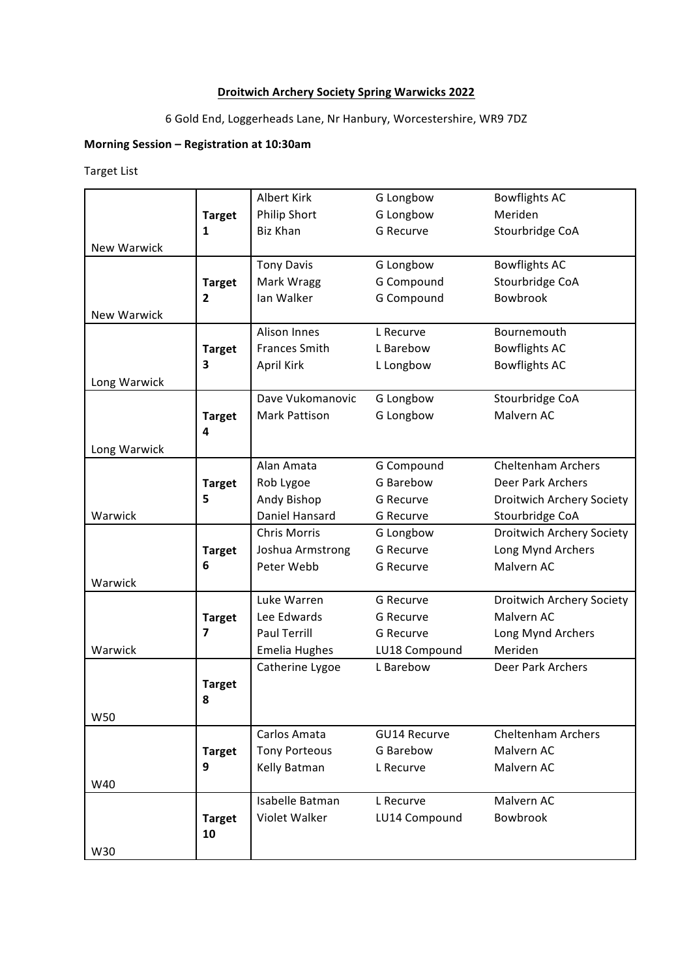## **Droitwich Archery Society Spring Warwicks 2022**

6 Gold End, Loggerheads Lane, Nr Hanbury, Worcestershire, WR9 7DZ

## **Morning Session – Registration at 10:30am**

Target List

|                    |                | <b>Albert Kirk</b>   | G Longbow        | <b>Bowflights AC</b>      |
|--------------------|----------------|----------------------|------------------|---------------------------|
|                    | <b>Target</b>  | <b>Philip Short</b>  | G Longbow        | Meriden                   |
|                    | $\mathbf{1}$   | <b>Biz Khan</b>      | <b>G</b> Recurve | Stourbridge CoA           |
| <b>New Warwick</b> |                |                      |                  |                           |
|                    |                | <b>Tony Davis</b>    | G Longbow        | <b>Bowflights AC</b>      |
|                    | <b>Target</b>  | Mark Wragg           | G Compound       | Stourbridge CoA           |
|                    | $\overline{2}$ | lan Walker           | G Compound       | Bowbrook                  |
| <b>New Warwick</b> |                |                      |                  |                           |
|                    |                | <b>Alison Innes</b>  | L Recurve        | Bournemouth               |
|                    | <b>Target</b>  | <b>Frances Smith</b> | L Barebow        | <b>Bowflights AC</b>      |
|                    | 3              | April Kirk           | L Longbow        | <b>Bowflights AC</b>      |
| Long Warwick       |                |                      |                  |                           |
|                    |                | Dave Vukomanovic     | G Longbow        | Stourbridge CoA           |
|                    | <b>Target</b>  | <b>Mark Pattison</b> | G Longbow        | Malvern AC                |
|                    | 4              |                      |                  |                           |
| Long Warwick       |                |                      |                  |                           |
|                    |                | Alan Amata           | G Compound       | <b>Cheltenham Archers</b> |
|                    | <b>Target</b>  | Rob Lygoe            | G Barebow        | <b>Deer Park Archers</b>  |
|                    | 5              | Andy Bishop          | <b>G</b> Recurve | Droitwich Archery Society |
| Warwick            |                | Daniel Hansard       | G Recurve        | Stourbridge CoA           |
|                    |                | <b>Chris Morris</b>  | G Longbow        | Droitwich Archery Society |
|                    | <b>Target</b>  | Joshua Armstrong     | <b>G</b> Recurve | Long Mynd Archers         |
|                    | 6              | Peter Webb           | <b>G</b> Recurve | Malvern AC                |
| Warwick            |                |                      |                  |                           |
|                    |                | Luke Warren          | <b>G</b> Recurve | Droitwich Archery Society |
|                    | <b>Target</b>  | Lee Edwards          | <b>G</b> Recurve | Malvern AC                |
|                    | $\overline{7}$ | Paul Terrill         | G Recurve        | Long Mynd Archers         |
| Warwick            |                | Emelia Hughes        | LU18 Compound    | Meriden                   |
|                    |                | Catherine Lygoe      | L Barebow        | <b>Deer Park Archers</b>  |
|                    | <b>Target</b>  |                      |                  |                           |
|                    | 8              |                      |                  |                           |
| W50                |                |                      |                  |                           |
|                    |                | Carlos Amata         | GU14 Recurve     | <b>Cheltenham Archers</b> |
|                    | <b>Target</b>  | <b>Tony Porteous</b> | G Barebow        | Malvern AC                |
|                    | 9              | Kelly Batman         | L Recurve        | Malvern AC                |
| W40                |                |                      |                  |                           |
|                    |                | Isabelle Batman      | L Recurve        | Malvern AC                |
|                    | <b>Target</b>  | Violet Walker        | LU14 Compound    | Bowbrook                  |
|                    | 10             |                      |                  |                           |
| W30                |                |                      |                  |                           |